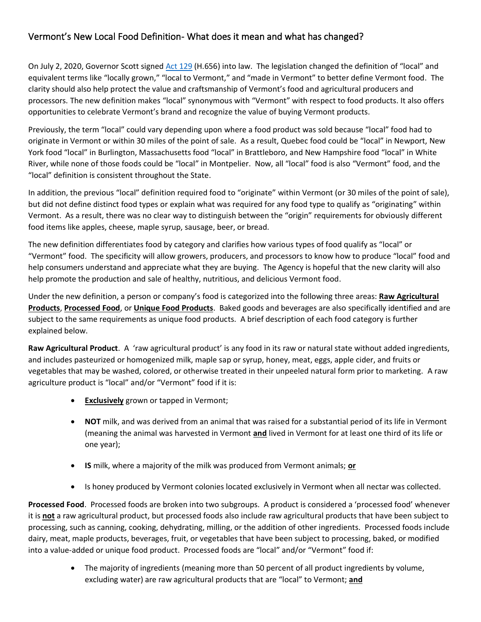## Vermont's New Local Food Definition- What does it mean and what has changed?

On July 2, 2020, Governor Scott signed [Act 129](https://legislature.vermont.gov/Documents/2020/Docs/ACTS/ACT129/ACT129%20As%20Enacted.pdf) (H.656) into law. The legislation changed the definition of "local" and equivalent terms like "locally grown," "local to Vermont," and "made in Vermont" to better define Vermont food. The clarity should also help protect the value and craftsmanship of Vermont's food and agricultural producers and processors. The new definition makes "local" synonymous with "Vermont" with respect to food products. It also offers opportunities to celebrate Vermont's brand and recognize the value of buying Vermont products.

Previously, the term "local" could vary depending upon where a food product was sold because "local" food had to originate in Vermont or within 30 miles of the point of sale. As a result, Quebec food could be "local" in Newport, New York food "local" in Burlington, Massachusetts food "local" in Brattleboro, and New Hampshire food "local" in White River, while none of those foods could be "local" in Montpelier. Now, all "local" food is also "Vermont" food, and the "local" definition is consistent throughout the State.

In addition, the previous "local" definition required food to "originate" within Vermont (or 30 miles of the point of sale), but did not define distinct food types or explain what was required for any food type to qualify as "originating" within Vermont. As a result, there was no clear way to distinguish between the "origin" requirements for obviously different food items like apples, cheese, maple syrup, sausage, beer, or bread.

The new definition differentiates food by category and clarifies how various types of food qualify as "local" or "Vermont" food. The specificity will allow growers, producers, and processors to know how to produce "local" food and help consumers understand and appreciate what they are buying. The Agency is hopeful that the new clarity will also help promote the production and sale of healthy, nutritious, and delicious Vermont food.

Under the new definition, a person or company's food is categorized into the following three areas: **Raw Agricultural Products**, **Processed Food**, or **Unique Food Products**. Baked goods and beverages are also specifically identified and are subject to the same requirements as unique food products. A brief description of each food category is further explained below.

**Raw Agricultural Product**. A 'raw agricultural product' is any food in its raw or natural state without added ingredients, and includes pasteurized or homogenized milk, maple sap or syrup, honey, meat, eggs, apple cider, and fruits or vegetables that may be washed, colored, or otherwise treated in their unpeeled natural form prior to marketing. A raw agriculture product is "local" and/or "Vermont" food if it is:

- **Exclusively** grown or tapped in Vermont;
- **NOT** milk, and was derived from an animal that was raised for a substantial period of its life in Vermont (meaning the animal was harvested in Vermont **and** lived in Vermont for at least one third of its life or one year);
- **IS** milk, where a majority of the milk was produced from Vermont animals; **or**
- Is honey produced by Vermont colonies located exclusively in Vermont when all nectar was collected.

**Processed Food**. Processed foods are broken into two subgroups. A product is considered a 'processed food' whenever it is **not** a raw agricultural product, but processed foods also include raw agricultural products that have been subject to processing, such as canning, cooking, dehydrating, milling, or the addition of other ingredients. Processed foods include dairy, meat, maple products, beverages, fruit, or vegetables that have been subject to processing, baked, or modified into a value-added or unique food product. Processed foods are "local" and/or "Vermont" food if:

> • The majority of ingredients (meaning more than 50 percent of all product ingredients by volume, excluding water) are raw agricultural products that are "local" to Vermont; **and**